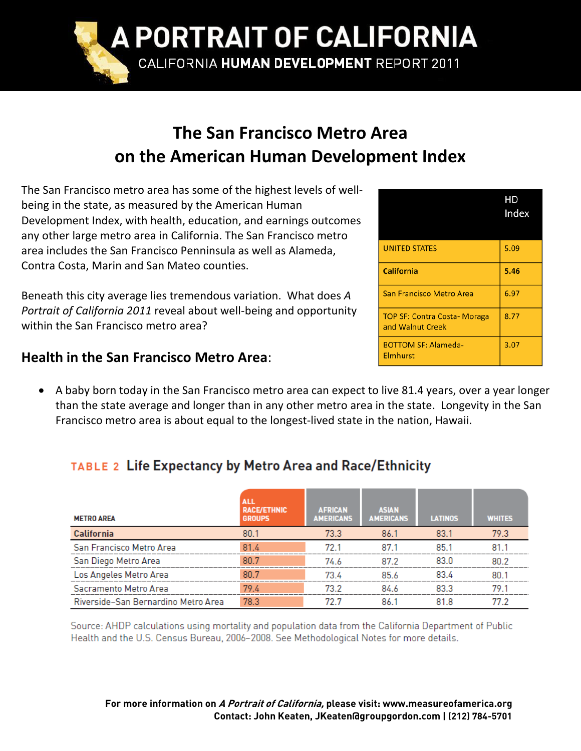

# **The San Francisco Metro Area on the American Human Development Index**

The San Francisco metro area has some of the highest levels of wellbeing in the state, as measured by the American Human Development Index, with health, education, and earnings outcomes any other large metro area in California. The San Francisco metro area includes the San Francisco Penninsula as well as Alameda, Contra Costa, Marin and San Mateo counties.

Beneath this city average lies tremendous variation. *Portrait of California 2011* reveal about well-being a within the San Francisco metro area?

## **Health in the San Francisco Metro Area**:

• A baby born today in the San Francisco metro area can expect to live 81.4 years, over a year longer than the state average and longer than in any other metro area in the state. Longevity in the San Francisco metro area is about equal to the longest-lived state in the nation, Hawaii.

| <b>METRO AREA</b>                   | <b>ALL</b><br><b>RACE/ETHNIC</b><br><b>GROUPS</b> | <b>AFRICAN</b><br><b>AMERICANS</b> | <b>ASIAN</b><br><b>AMERICANS</b> | <b>LATINOS</b> | <b>WHITES</b> |
|-------------------------------------|---------------------------------------------------|------------------------------------|----------------------------------|----------------|---------------|
| <b>California</b>                   | 80.1                                              | 73.3                               | 86.1                             | 83.1           | 79.3          |
| San Francisco Metro Area            | 81.4                                              | 72.1                               | 87.1                             | 85.1           | 81.1          |
| San Diego Metro Area                | 80.7                                              | 74.6                               | 87.2                             | 83.0           | 80.2          |
| Los Angeles Metro Area              | 80.7                                              | 73.4                               | 85.6                             | 83.4           | 80.1          |
| Sacramento Metro Area               | 79.4                                              | 73.2                               | 84.6                             | 83.3           | 79.1          |
| Riverside-San Bernardino Metro Area | 78.3                                              | 72.7                               | 86.1                             | 81.8           | 77.2          |

## **TABLE 2 Life Expectancy by Metro Area and Race/Ethnicity**

Source: AHDP calculations using mortality and population data from the California Department of Public Health and the U.S. Census Bureau, 2006-2008. See Methodological Notes for more details.

| , הונוווכשה,                     |                                                         |      |
|----------------------------------|---------------------------------------------------------|------|
|                                  | <b>California</b>                                       | 5.46 |
| . What does A<br>and opportunity | <b>San Francisco Metro Area</b>                         | 6.97 |
|                                  | <b>TOP SF: Contra Costa- Moraga</b><br>and Walnut Creek | 8.77 |
|                                  | <b>BOTTOM SF: Alameda-</b><br>Elmhurst                  | 3.07 |
|                                  | o area can expect to live 81.4 years, over a year lo    |      |

UNITED STATES

HD Index

5.09